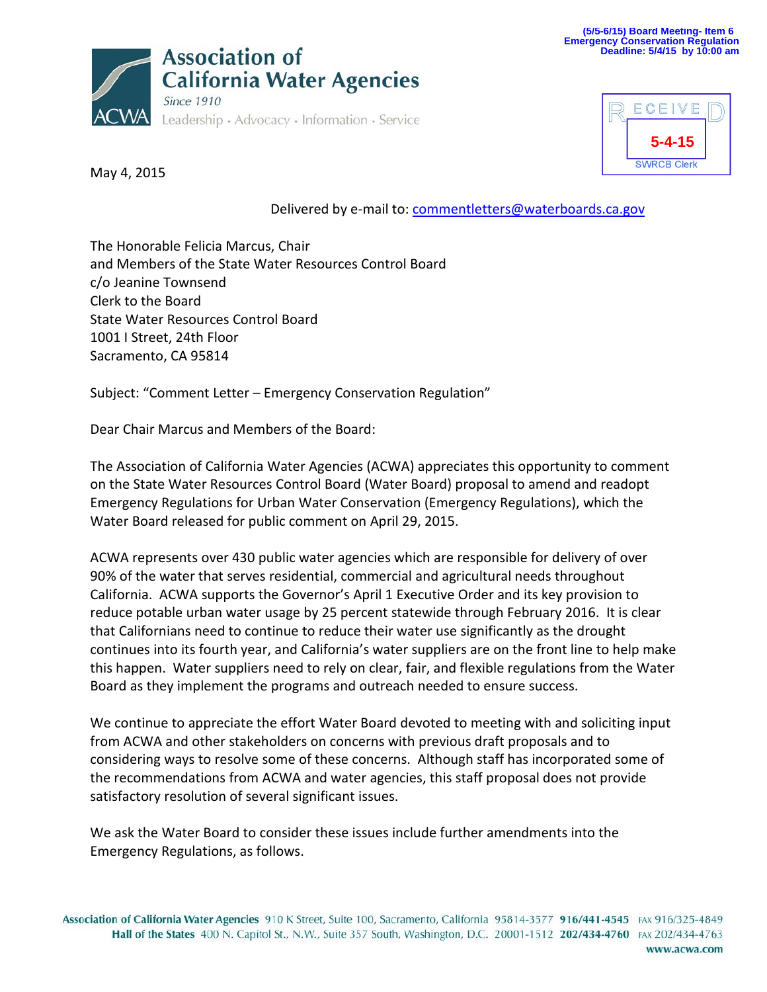



May 4, 2015

Delivered by e-mail to: [commentletters@waterboards.ca.gov](mailto:commentletters@waterboards.ca.gov)

The Honorable Felicia Marcus, Chair and Members of the State Water Resources Control Board c/o Jeanine Townsend Clerk to the Board State Water Resources Control Board 1001 I Street, 24th Floor Sacramento, CA 95814

Subject: "Comment Letter – Emergency Conservation Regulation"

Dear Chair Marcus and Members of the Board:

The Association of California Water Agencies (ACWA) appreciates this opportunity to comment on the State Water Resources Control Board (Water Board) proposal to amend and readopt Emergency Regulations for Urban Water Conservation (Emergency Regulations), which the Water Board released for public comment on April 29, 2015.

ACWA represents over 430 public water agencies which are responsible for delivery of over 90% of the water that serves residential, commercial and agricultural needs throughout California. ACWA supports the Governor's April 1 Executive Order and its key provision to reduce potable urban water usage by 25 percent statewide through February 2016. It is clear that Californians need to continue to reduce their water use significantly as the drought continues into its fourth year, and California's water suppliers are on the front line to help make this happen. Water suppliers need to rely on clear, fair, and flexible regulations from the Water Board as they implement the programs and outreach needed to ensure success.

We continue to appreciate the effort Water Board devoted to meeting with and soliciting input from ACWA and other stakeholders on concerns with previous draft proposals and to considering ways to resolve some of these concerns. Although staff has incorporated some of the recommendations from ACWA and water agencies, this staff proposal does not provide satisfactory resolution of several significant issues.

We ask the Water Board to consider these issues include further amendments into the Emergency Regulations, as follows.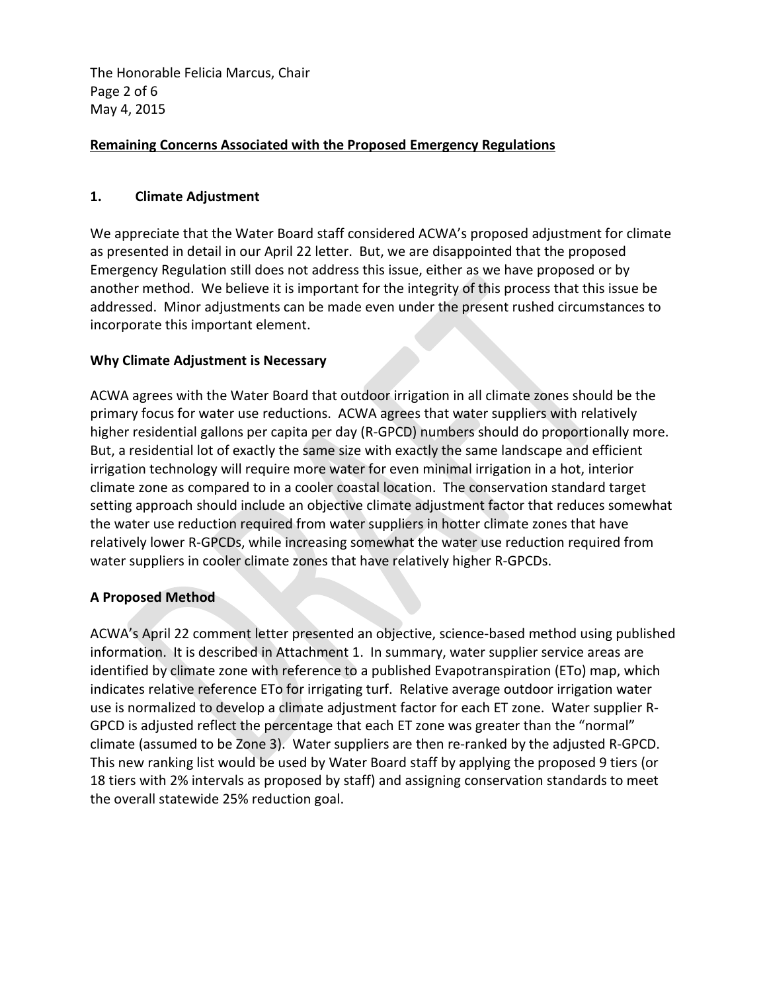The Honorable Felicia Marcus, Chair Page 2 of 6 May 4, 2015

## **Remaining Concerns Associated with the Proposed Emergency Regulations**

### **1. Climate Adjustment**

We appreciate that the Water Board staff considered ACWA's proposed adjustment for climate as presented in detail in our April 22 letter. But, we are disappointed that the proposed Emergency Regulation still does not address this issue, either as we have proposed or by another method. We believe it is important for the integrity of this process that this issue be addressed. Minor adjustments can be made even under the present rushed circumstances to incorporate this important element.

### **Why Climate Adjustment is Necessary**

ACWA agrees with the Water Board that outdoor irrigation in all climate zones should be the primary focus for water use reductions. ACWA agrees that water suppliers with relatively higher residential gallons per capita per day (R-GPCD) numbers should do proportionally more. But, a residential lot of exactly the same size with exactly the same landscape and efficient irrigation technology will require more water for even minimal irrigation in a hot, interior climate zone as compared to in a cooler coastal location. The conservation standard target setting approach should include an objective climate adjustment factor that reduces somewhat the water use reduction required from water suppliers in hotter climate zones that have relatively lower R-GPCDs, while increasing somewhat the water use reduction required from water suppliers in cooler climate zones that have relatively higher R-GPCDs.

### **A Proposed Method**

ACWA's April 22 comment letter presented an objective, science-based method using published information. It is described in Attachment 1. In summary, water supplier service areas are identified by climate zone with reference to a published Evapotranspiration (ETo) map, which indicates relative reference ETo for irrigating turf. Relative average outdoor irrigation water use is normalized to develop a climate adjustment factor for each ET zone. Water supplier R-GPCD is adjusted reflect the percentage that each ET zone was greater than the "normal" climate (assumed to be Zone 3). Water suppliers are then re-ranked by the adjusted R-GPCD. This new ranking list would be used by Water Board staff by applying the proposed 9 tiers (or 18 tiers with 2% intervals as proposed by staff) and assigning conservation standards to meet the overall statewide 25% reduction goal.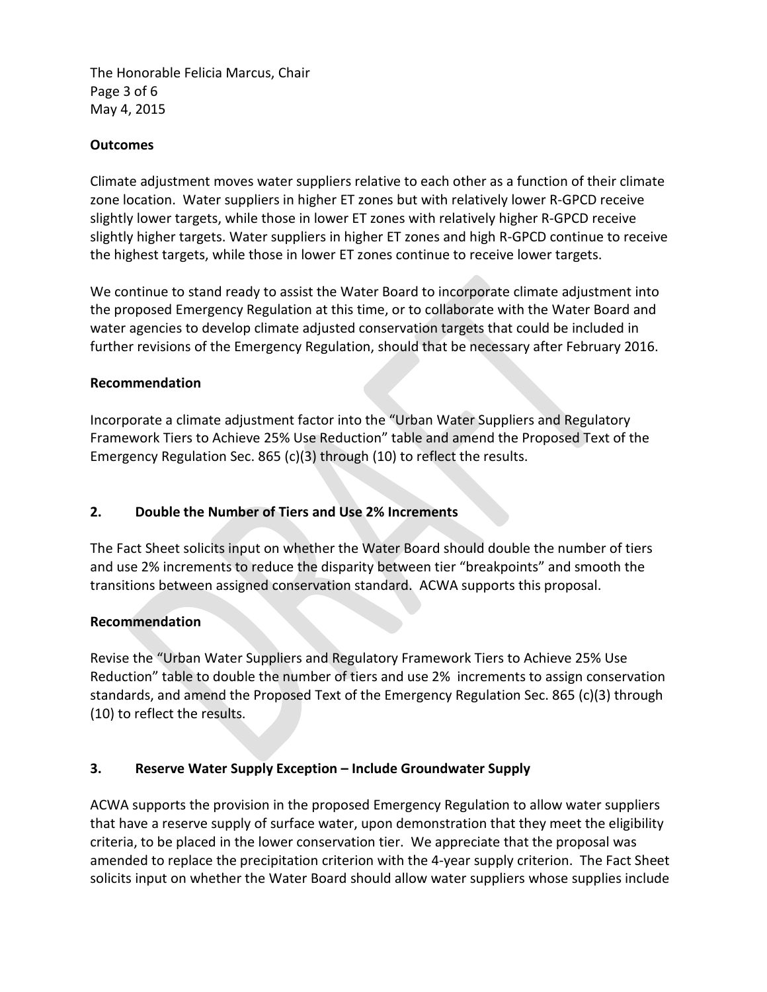The Honorable Felicia Marcus, Chair Page 3 of 6 May 4, 2015

## **Outcomes**

Climate adjustment moves water suppliers relative to each other as a function of their climate zone location. Water suppliers in higher ET zones but with relatively lower R-GPCD receive slightly lower targets, while those in lower ET zones with relatively higher R-GPCD receive slightly higher targets. Water suppliers in higher ET zones and high R-GPCD continue to receive the highest targets, while those in lower ET zones continue to receive lower targets.

We continue to stand ready to assist the Water Board to incorporate climate adjustment into the proposed Emergency Regulation at this time, or to collaborate with the Water Board and water agencies to develop climate adjusted conservation targets that could be included in further revisions of the Emergency Regulation, should that be necessary after February 2016.

### **Recommendation**

Incorporate a climate adjustment factor into the "Urban Water Suppliers and Regulatory Framework Tiers to Achieve 25% Use Reduction" table and amend the Proposed Text of the Emergency Regulation Sec. 865 (c)(3) through (10) to reflect the results.

### **2. Double the Number of Tiers and Use 2% Increments**

The Fact Sheet solicits input on whether the Water Board should double the number of tiers and use 2% increments to reduce the disparity between tier "breakpoints" and smooth the transitions between assigned conservation standard. ACWA supports this proposal.

### **Recommendation**

Revise the "Urban Water Suppliers and Regulatory Framework Tiers to Achieve 25% Use Reduction" table to double the number of tiers and use 2% increments to assign conservation standards, and amend the Proposed Text of the Emergency Regulation Sec. 865 (c)(3) through (10) to reflect the results.

### **3. Reserve Water Supply Exception – Include Groundwater Supply**

ACWA supports the provision in the proposed Emergency Regulation to allow water suppliers that have a reserve supply of surface water, upon demonstration that they meet the eligibility criteria, to be placed in the lower conservation tier. We appreciate that the proposal was amended to replace the precipitation criterion with the 4-year supply criterion. The Fact Sheet solicits input on whether the Water Board should allow water suppliers whose supplies include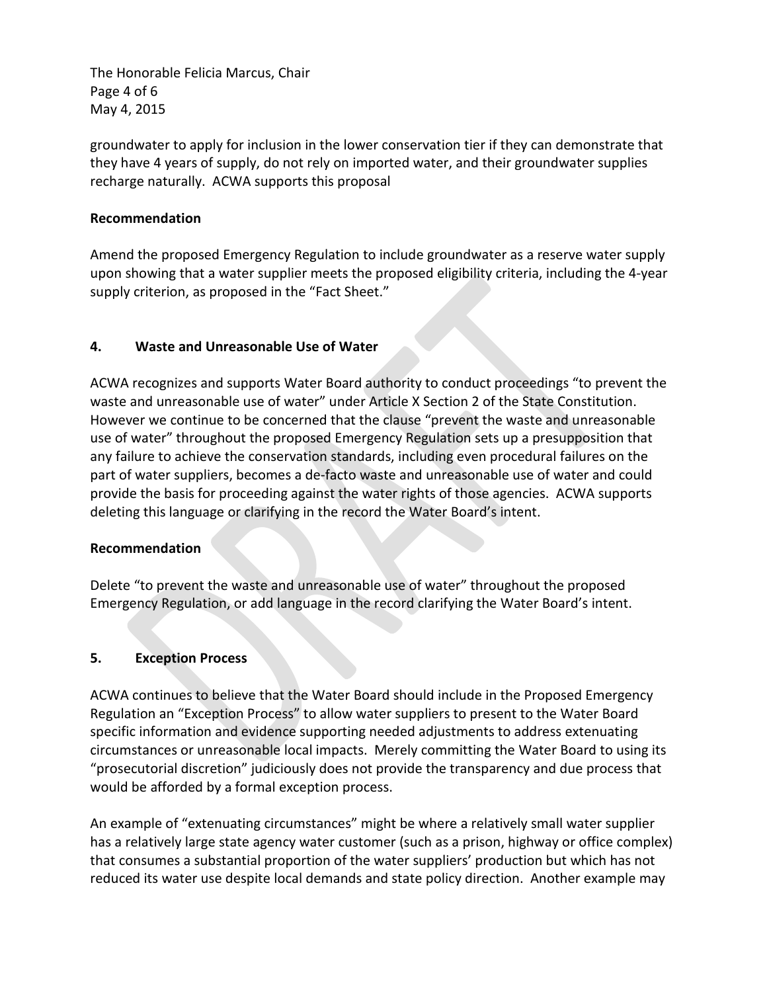The Honorable Felicia Marcus, Chair Page 4 of 6 May 4, 2015

groundwater to apply for inclusion in the lower conservation tier if they can demonstrate that they have 4 years of supply, do not rely on imported water, and their groundwater supplies recharge naturally. ACWA supports this proposal

## **Recommendation**

Amend the proposed Emergency Regulation to include groundwater as a reserve water supply upon showing that a water supplier meets the proposed eligibility criteria, including the 4-year supply criterion, as proposed in the "Fact Sheet."

## **4. Waste and Unreasonable Use of Water**

ACWA recognizes and supports Water Board authority to conduct proceedings "to prevent the waste and unreasonable use of water" under Article X Section 2 of the State Constitution. However we continue to be concerned that the clause "prevent the waste and unreasonable use of water" throughout the proposed Emergency Regulation sets up a presupposition that any failure to achieve the conservation standards, including even procedural failures on the part of water suppliers, becomes a de-facto waste and unreasonable use of water and could provide the basis for proceeding against the water rights of those agencies. ACWA supports deleting this language or clarifying in the record the Water Board's intent.

### **Recommendation**

Delete "to prevent the waste and unreasonable use of water" throughout the proposed Emergency Regulation, or add language in the record clarifying the Water Board's intent.

# **5. Exception Process**

ACWA continues to believe that the Water Board should include in the Proposed Emergency Regulation an "Exception Process" to allow water suppliers to present to the Water Board specific information and evidence supporting needed adjustments to address extenuating circumstances or unreasonable local impacts. Merely committing the Water Board to using its "prosecutorial discretion" judiciously does not provide the transparency and due process that would be afforded by a formal exception process.

An example of "extenuating circumstances" might be where a relatively small water supplier has a relatively large state agency water customer (such as a prison, highway or office complex) that consumes a substantial proportion of the water suppliers' production but which has not reduced its water use despite local demands and state policy direction. Another example may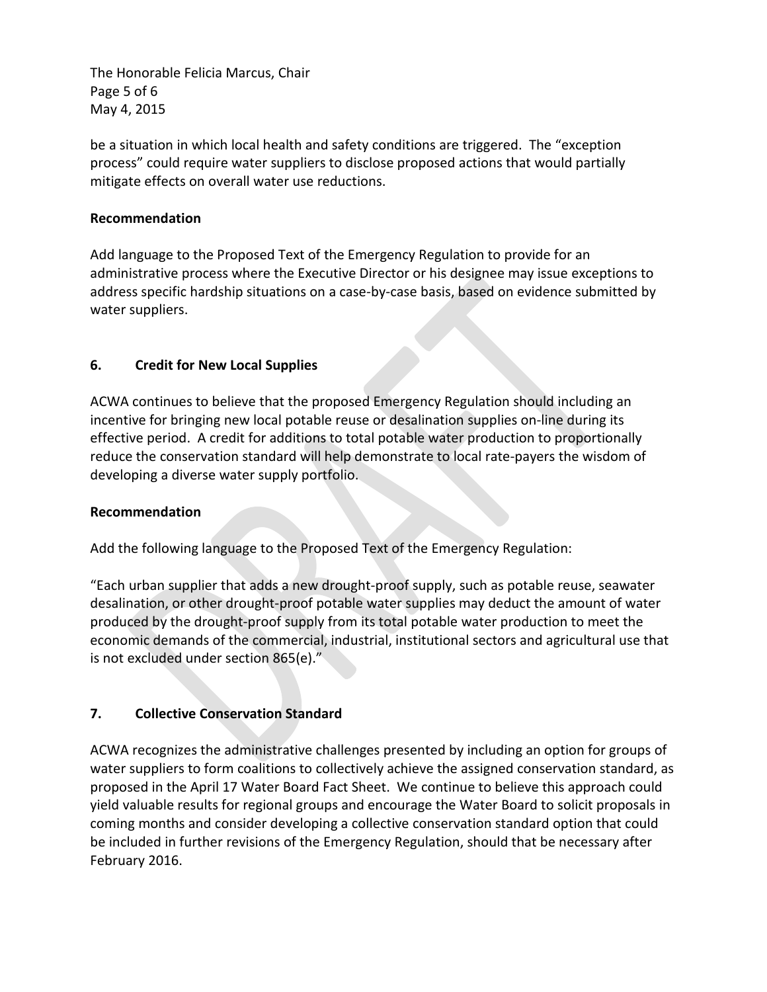The Honorable Felicia Marcus, Chair Page 5 of 6 May 4, 2015

be a situation in which local health and safety conditions are triggered. The "exception process" could require water suppliers to disclose proposed actions that would partially mitigate effects on overall water use reductions.

## **Recommendation**

Add language to the Proposed Text of the Emergency Regulation to provide for an administrative process where the Executive Director or his designee may issue exceptions to address specific hardship situations on a case-by-case basis, based on evidence submitted by water suppliers.

# **6. Credit for New Local Supplies**

ACWA continues to believe that the proposed Emergency Regulation should including an incentive for bringing new local potable reuse or desalination supplies on-line during its effective period. A credit for additions to total potable water production to proportionally reduce the conservation standard will help demonstrate to local rate-payers the wisdom of developing a diverse water supply portfolio.

### **Recommendation**

Add the following language to the Proposed Text of the Emergency Regulation:

"Each urban supplier that adds a new drought-proof supply, such as potable reuse, seawater desalination, or other drought-proof potable water supplies may deduct the amount of water produced by the drought-proof supply from its total potable water production to meet the economic demands of the commercial, industrial, institutional sectors and agricultural use that is not excluded under section 865(e)."

### **7. Collective Conservation Standard**

ACWA recognizes the administrative challenges presented by including an option for groups of water suppliers to form coalitions to collectively achieve the assigned conservation standard, as proposed in the April 17 Water Board Fact Sheet. We continue to believe this approach could yield valuable results for regional groups and encourage the Water Board to solicit proposals in coming months and consider developing a collective conservation standard option that could be included in further revisions of the Emergency Regulation, should that be necessary after February 2016.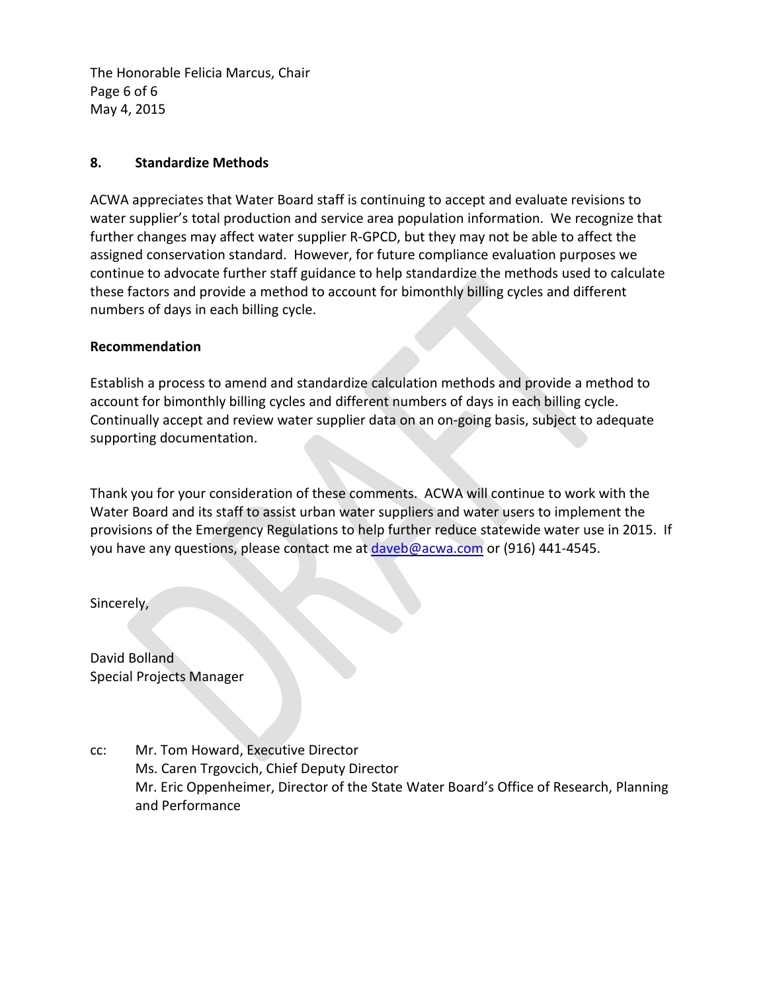The Honorable Felicia Marcus, Chair Page 6 of 6 May 4, 2015

## **8. Standardize Methods**

ACWA appreciates that Water Board staff is continuing to accept and evaluate revisions to water supplier's total production and service area population information. We recognize that further changes may affect water supplier R-GPCD, but they may not be able to affect the assigned conservation standard. However, for future compliance evaluation purposes we continue to advocate further staff guidance to help standardize the methods used to calculate these factors and provide a method to account for bimonthly billing cycles and different numbers of days in each billing cycle.

### **Recommendation**

Establish a process to amend and standardize calculation methods and provide a method to account for bimonthly billing cycles and different numbers of days in each billing cycle. Continually accept and review water supplier data on an on-going basis, subject to adequate supporting documentation.

Thank you for your consideration of these comments. ACWA will continue to work with the Water Board and its staff to assist urban water suppliers and water users to implement the provisions of the Emergency Regulations to help further reduce statewide water use in 2015. If you have any questions, please contact me at **daveb@acwa.com or (916) 441-4545.** 

Sincerely,

David Bolland Special Projects Manager

cc: Mr. Tom Howard, Executive Director Ms. Caren Trgovcich, Chief Deputy Director Mr. Eric Oppenheimer, Director of the State Water Board's Office of Research, Planning and Performance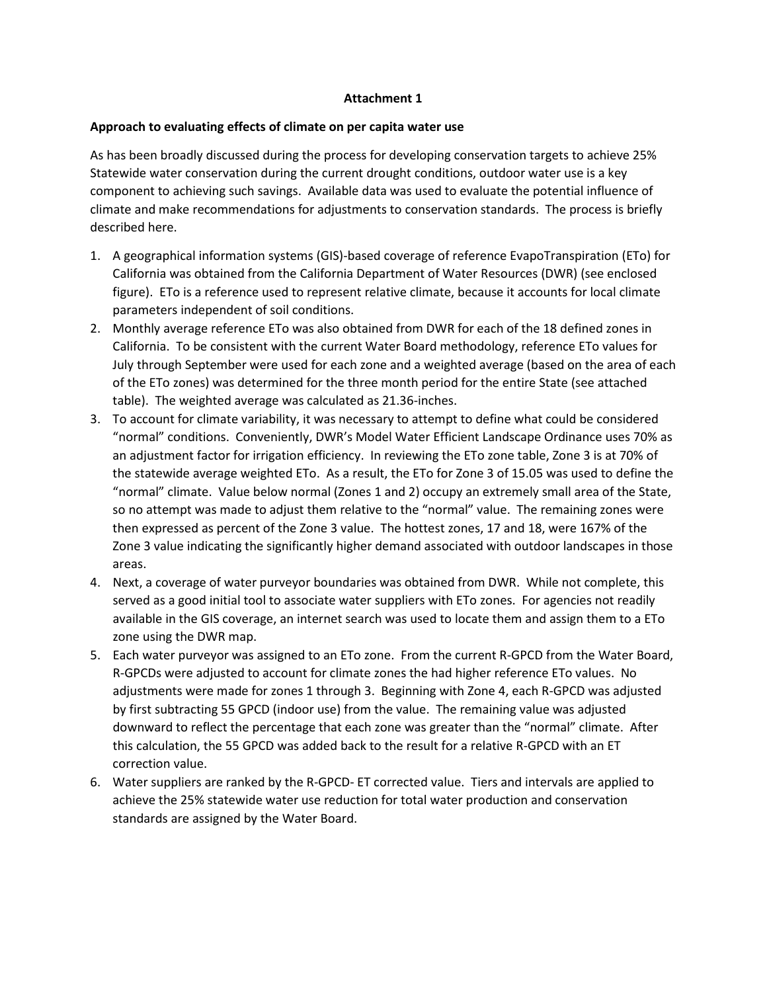#### **Attachment 1**

#### **Approach to evaluating effects of climate on per capita water use**

As has been broadly discussed during the process for developing conservation targets to achieve 25% Statewide water conservation during the current drought conditions, outdoor water use is a key component to achieving such savings. Available data was used to evaluate the potential influence of climate and make recommendations for adjustments to conservation standards. The process is briefly described here.

- 1. A geographical information systems (GIS)-based coverage of reference EvapoTranspiration (ETo) for California was obtained from the California Department of Water Resources (DWR) (see enclosed figure). ETo is a reference used to represent relative climate, because it accounts for local climate parameters independent of soil conditions.
- 2. Monthly average reference ETo was also obtained from DWR for each of the 18 defined zones in California. To be consistent with the current Water Board methodology, reference ETo values for July through September were used for each zone and a weighted average (based on the area of each of the ETo zones) was determined for the three month period for the entire State (see attached table). The weighted average was calculated as 21.36-inches.
- 3. To account for climate variability, it was necessary to attempt to define what could be considered "normal" conditions. Conveniently, DWR's Model Water Efficient Landscape Ordinance uses 70% as an adjustment factor for irrigation efficiency. In reviewing the ETo zone table, Zone 3 is at 70% of the statewide average weighted ETo. As a result, the ETo for Zone 3 of 15.05 was used to define the "normal" climate. Value below normal (Zones 1 and 2) occupy an extremely small area of the State, so no attempt was made to adjust them relative to the "normal" value. The remaining zones were then expressed as percent of the Zone 3 value. The hottest zones, 17 and 18, were 167% of the Zone 3 value indicating the significantly higher demand associated with outdoor landscapes in those areas.
- 4. Next, a coverage of water purveyor boundaries was obtained from DWR. While not complete, this served as a good initial tool to associate water suppliers with ETo zones. For agencies not readily available in the GIS coverage, an internet search was used to locate them and assign them to a ETo zone using the DWR map.
- 5. Each water purveyor was assigned to an ETo zone. From the current R-GPCD from the Water Board, R-GPCDs were adjusted to account for climate zones the had higher reference ETo values. No adjustments were made for zones 1 through 3. Beginning with Zone 4, each R-GPCD was adjusted by first subtracting 55 GPCD (indoor use) from the value. The remaining value was adjusted downward to reflect the percentage that each zone was greater than the "normal" climate. After this calculation, the 55 GPCD was added back to the result for a relative R-GPCD with an ET correction value.
- 6. Water suppliers are ranked by the R-GPCD- ET corrected value. Tiers and intervals are applied to achieve the 25% statewide water use reduction for total water production and conservation standards are assigned by the Water Board.